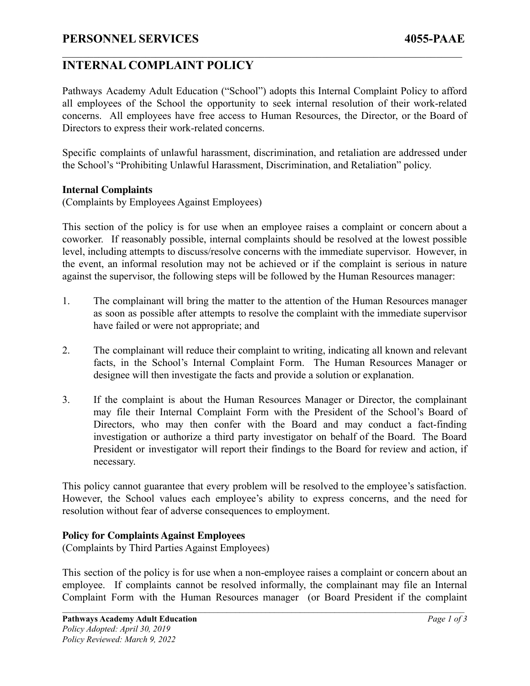# **INTERNAL COMPLAINT POLICY**

Pathways Academy Adult Education ("School") adopts this Internal Complaint Policy to afford all employees of the School the opportunity to seek internal resolution of their work-related concerns. All employees have free access to Human Resources, the Director, or the Board of Directors to express their work-related concerns.

 $\mathcal{L}_\mathcal{L} = \{ \mathcal{L}_\mathcal{L} = \{ \mathcal{L}_\mathcal{L} = \{ \mathcal{L}_\mathcal{L} = \{ \mathcal{L}_\mathcal{L} = \{ \mathcal{L}_\mathcal{L} = \{ \mathcal{L}_\mathcal{L} = \{ \mathcal{L}_\mathcal{L} = \{ \mathcal{L}_\mathcal{L} = \{ \mathcal{L}_\mathcal{L} = \{ \mathcal{L}_\mathcal{L} = \{ \mathcal{L}_\mathcal{L} = \{ \mathcal{L}_\mathcal{L} = \{ \mathcal{L}_\mathcal{L} = \{ \mathcal{L}_\mathcal{$ 

Specific complaints of unlawful harassment, discrimination, and retaliation are addressed under the School's "Prohibiting Unlawful Harassment, Discrimination, and Retaliation" policy.

#### **Internal Complaints**

(Complaints by Employees Against Employees)

This section of the policy is for use when an employee raises a complaint or concern about a coworker. If reasonably possible, internal complaints should be resolved at the lowest possible level, including attempts to discuss/resolve concerns with the immediate supervisor. However, in the event, an informal resolution may not be achieved or if the complaint is serious in nature against the supervisor, the following steps will be followed by the Human Resources manager:

- 1. The complainant will bring the matter to the attention of the Human Resources manager as soon as possible after attempts to resolve the complaint with the immediate supervisor have failed or were not appropriate; and
- 2. The complainant will reduce their complaint to writing, indicating all known and relevant facts, in the School's Internal Complaint Form. The Human Resources Manager or designee will then investigate the facts and provide a solution or explanation.
- 3. If the complaint is about the Human Resources Manager or Director, the complainant may file their Internal Complaint Form with the President of the School's Board of Directors, who may then confer with the Board and may conduct a fact-finding investigation or authorize a third party investigator on behalf of the Board. The Board President or investigator will report their findings to the Board for review and action, if necessary.

This policy cannot guarantee that every problem will be resolved to the employee's satisfaction. However, the School values each employee's ability to express concerns, and the need for resolution without fear of adverse consequences to employment.

### **Policy for Complaints Against Employees**

(Complaints by Third Parties Against Employees)

This section of the policy is for use when a non-employee raises a complaint or concern about an employee. If complaints cannot be resolved informally, the complainant may file an Internal Complaint Form with the Human Resources manager (or Board President if the complaint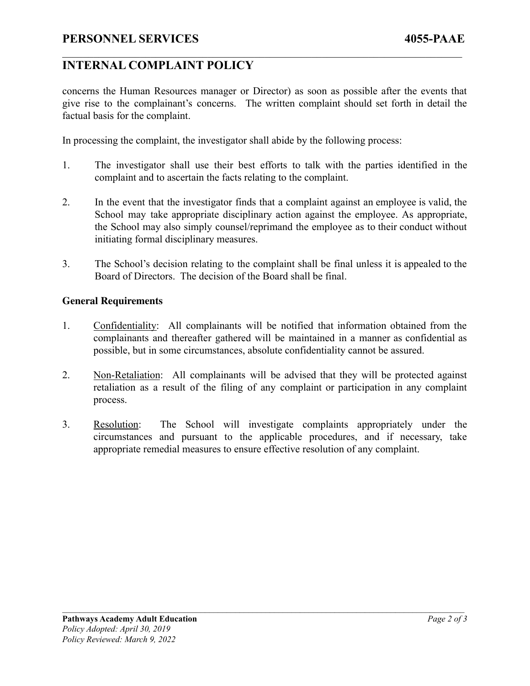## **INTERNAL COMPLAINT POLICY**

concerns the Human Resources manager or Director) as soon as possible after the events that give rise to the complainant's concerns. The written complaint should set forth in detail the factual basis for the complaint.

 $\mathcal{L}_\mathcal{L} = \{ \mathcal{L}_\mathcal{L} = \{ \mathcal{L}_\mathcal{L} = \{ \mathcal{L}_\mathcal{L} = \{ \mathcal{L}_\mathcal{L} = \{ \mathcal{L}_\mathcal{L} = \{ \mathcal{L}_\mathcal{L} = \{ \mathcal{L}_\mathcal{L} = \{ \mathcal{L}_\mathcal{L} = \{ \mathcal{L}_\mathcal{L} = \{ \mathcal{L}_\mathcal{L} = \{ \mathcal{L}_\mathcal{L} = \{ \mathcal{L}_\mathcal{L} = \{ \mathcal{L}_\mathcal{L} = \{ \mathcal{L}_\mathcal{$ 

In processing the complaint, the investigator shall abide by the following process:

- 1. The investigator shall use their best efforts to talk with the parties identified in the complaint and to ascertain the facts relating to the complaint.
- 2. In the event that the investigator finds that a complaint against an employee is valid, the School may take appropriate disciplinary action against the employee. As appropriate, the School may also simply counsel/reprimand the employee as to their conduct without initiating formal disciplinary measures.
- 3. The School's decision relating to the complaint shall be final unless it is appealed to the Board of Directors. The decision of the Board shall be final.

### **General Requirements**

- 1. Confidentiality: All complainants will be notified that information obtained from the complainants and thereafter gathered will be maintained in a manner as confidential as possible, but in some circumstances, absolute confidentiality cannot be assured.
- 2. Non-Retaliation: All complainants will be advised that they will be protected against retaliation as a result of the filing of any complaint or participation in any complaint process.
- 3. Resolution: The School will investigate complaints appropriately under the circumstances and pursuant to the applicable procedures, and if necessary, take appropriate remedial measures to ensure effective resolution of any complaint.